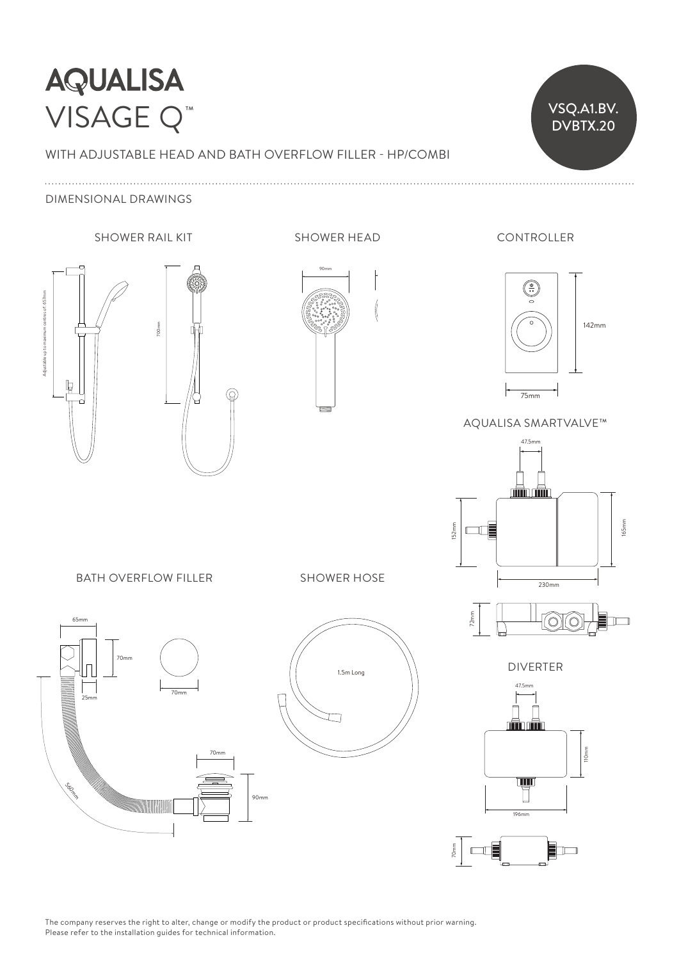# **AQUALISA** VISAGE Q™

### WITH ADJUSTABLE HEAD AND BATH OVERFLOW FILLER - HP/COMBI

VSQ.A1.BV. DVBTX.20

#### DIMENSIONAL DRAWINGS





90mm 105mm 105mm 105mm 105mm 105mm 105mm 105mm 105mm 105mm 105mm 105mm 105mm 105mm 105mm 105mm 105mm 105mm 105





AQUALISA SMARTVALVE™



DIVERTER 47.5mm

70mm



47.5mm

BATH OVERFLOW FILLER

70mm

25mm

 $65m$ 

70mm

25mm

Socio

 $\mathcal{L}$ 

25mm

 $\overline{a}$ 

W



SHOWER HOSE

The company reserves the right to alter, change or modify the product or product specifications without prior warning. Please refer to the installation guides for technical information.

183mm

90mm

90mm

70mm

 $\overline{a}$ 

70mm

70mm

70mm